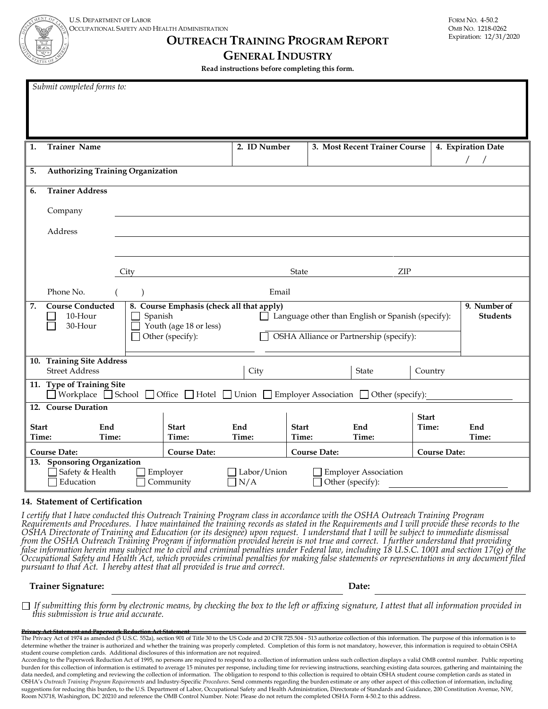**OUTREACH TRAINING PROGRAM REPORT**

#### **GENERAL INDUSTRY**

**Read instructions before completing this form.**

|                       | Submit completed forms to:                                  |       |         |                        |                                                                                                                            |                       |  |                                                   |                     |                                 |
|-----------------------|-------------------------------------------------------------|-------|---------|------------------------|----------------------------------------------------------------------------------------------------------------------------|-----------------------|--|---------------------------------------------------|---------------------|---------------------------------|
| 1.                    | <b>Trainer Name</b>                                         |       |         |                        | 2. ID Number                                                                                                               |                       |  | 3. Most Recent Trainer Course                     |                     | 4. Expiration Date              |
| 5.                    | <b>Authorizing Training Organization</b>                    |       |         |                        |                                                                                                                            |                       |  |                                                   |                     |                                 |
| 6.                    | <b>Trainer Address</b>                                      |       |         |                        |                                                                                                                            |                       |  |                                                   |                     |                                 |
|                       | Company                                                     |       |         |                        |                                                                                                                            |                       |  |                                                   |                     |                                 |
|                       | Address                                                     |       |         |                        |                                                                                                                            |                       |  |                                                   |                     |                                 |
|                       |                                                             |       |         |                        |                                                                                                                            |                       |  |                                                   |                     |                                 |
|                       |                                                             |       |         |                        |                                                                                                                            |                       |  |                                                   |                     |                                 |
|                       |                                                             | City  |         |                        |                                                                                                                            | State                 |  | ZIP                                               |                     |                                 |
|                       | Phone No.                                                   |       |         |                        | Email                                                                                                                      |                       |  |                                                   |                     |                                 |
| 7.                    | <b>Course Conducted</b><br>10-Hour<br>30-Hour               |       | Spanish | Youth (age 18 or less) | 8. Course Emphasis (check all that apply)<br>$\blacksquare$                                                                |                       |  | Language other than English or Spanish (specify): |                     | 9. Number of<br><b>Students</b> |
|                       |                                                             |       |         | Other (specify):       |                                                                                                                            |                       |  | OSHA Alliance or Partnership (specify):           |                     |                                 |
|                       | 10. Training Site Address<br><b>Street Address</b>          |       |         |                        | City                                                                                                                       |                       |  | <b>State</b>                                      | Country             |                                 |
|                       | 11. Type of Training Site                                   |       |         |                        | $\Box$ Workplace $\Box$ School $\Box$ Office $\Box$ Hotel $\Box$ Union $\Box$ Employer Association $\Box$ Other (specify): |                       |  |                                                   |                     |                                 |
|                       | 12. Course Duration                                         |       |         |                        |                                                                                                                            |                       |  |                                                   | <b>Start</b>        |                                 |
| <b>Start</b><br>Time: | End                                                         | Time: |         | <b>Start</b><br>Time:  | End<br>Time:                                                                                                               | <b>Start</b><br>Time: |  | End<br>Time:                                      | Time:               | End<br>Time:                    |
|                       | <b>Course Date:</b>                                         |       |         | <b>Course Date:</b>    |                                                                                                                            | <b>Course Date:</b>   |  |                                                   | <b>Course Date:</b> |                                 |
|                       | 13. Sponsoring Organization<br>Safety & Health<br>Education |       |         | Employer<br>Community  | Labor/Union<br>N/A                                                                                                         |                       |  | <b>Employer Association</b><br>Other (specify):   |                     |                                 |

#### **14. Statement of Certification**

I certify that I have conducted this Outreach Training Program class in accordance with the OSHA Outreach Training Program<br>Requirements and Procedures. I have maintained the training records as stated in the Requirements a from the OSHA Outreach Training Program if information provided herein is not true and correct. I further understand that providing<br>false information herein may subject me to civil and criminal penalties under Federal law,

**Trainer Signature: Date:**

*If submitting this form by electronic means, by checking the box to the left or affixing signature, I attest that all information provided in this submission is true and accurate.*

#### **Privacy Act Statement and Paperwork Reduction Act Statement**

The Privacy Act of 1974 as amended (5 U.S.C. 552a), section 901 of Title 30 to the US Code and 20 CFR 725.504 - 513 authorize collection of this information. The purpose of this information is to determine whether the trainer is authorized and whether the training was properly completed. Completion of this form is not mandatory, however, this information is required to obtain OSHA student course completion cards. Additional disclosures of this information are not required.

According to the Paperwork Reduction Act of 1995, no persons are required to respond to a collection of information unless such collection displays a valid OMB control number. Public reporting burden for this collection of information is estimated to average 15 minutes per response, including time for reviewing instructions, searching existing data sources, gathering and maintaining the data needed, and completing and reviewing the collection of information. The obligation to respond to this collection is required to obtain OSHA student course completion cards as stated in OSHA's *Outreach Training Program Requirements* and Industry-Specific *Procedures*. Send comments regarding the burden estimate or any other aspect of this collection of information, including suggestions for reducing this burden, to the U.S. Department of Labor, Occupational Safety and Health Administration, Directorate of Standards and Guidance, 200 Constitution Avenue, NW, Room N3718, Washington, DC 20210 and reference the OMB Control Number. Note: Please do not return the completed OSHA Form 4-50.2 to this address.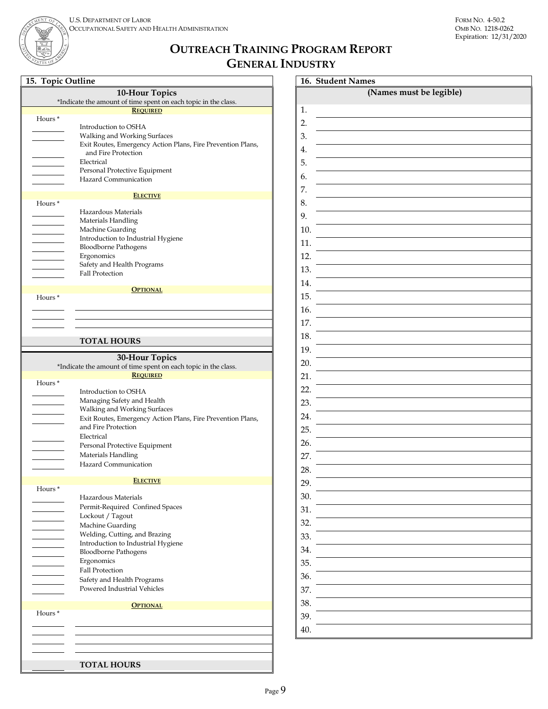Expiration: 12/31/2020

# **OUTREACH TRAINING PROGRAM REPORT GENERAL INDUSTRY**

|  | 15. Topic Outline |
|--|-------------------|

ENT O

|                    | <b>10-Hour Topics</b>                                          |
|--------------------|----------------------------------------------------------------|
|                    | *Indicate the amount of time spent on each topic in the class. |
|                    | <b>REQUIRED</b>                                                |
| Hours <sup>*</sup> |                                                                |
|                    | Introduction to OSHA                                           |
|                    | Walking and Working Surfaces                                   |
|                    | Exit Routes, Emergency Action Plans, Fire Prevention Plans,    |
|                    | and Fire Protection                                            |
|                    | Electrical                                                     |
|                    | Personal Protective Equipment                                  |
|                    | Hazard Communication                                           |
|                    |                                                                |
| Hours <sup>*</sup> | <b>ELECTIVE</b>                                                |
|                    | Hazardous Materials                                            |
|                    | Materials Handling                                             |
|                    | Machine Guarding                                               |
|                    | Introduction to Industrial Hygiene                             |
|                    | <b>Bloodborne Pathogens</b>                                    |
|                    | Ergonomics                                                     |
|                    | Safety and Health Programs                                     |
|                    | <b>Fall Protection</b>                                         |
|                    |                                                                |
|                    | <b>OPTIONAL</b>                                                |
| Hours <sup>*</sup> |                                                                |
|                    |                                                                |
|                    |                                                                |
|                    |                                                                |
|                    | <b>TOTAL HOURS</b>                                             |
|                    |                                                                |
|                    | 30-Hour Topics                                                 |
|                    | *Indicate the amount of time spent on each topic in the class. |
|                    | <b>REQUIRED</b>                                                |
| Hours <sup>*</sup> |                                                                |
|                    | Introduction to OSHA                                           |
|                    | Managing Safety and Health                                     |
|                    | Walking and Working Surfaces                                   |
|                    | Exit Routes, Emergency Action Plans, Fire Prevention Plans,    |
|                    | and Fire Protection                                            |
|                    | Electrical                                                     |
|                    | Personal Protective Equipment                                  |
|                    | Materials Handling                                             |
|                    | Hazard Communication                                           |
|                    |                                                                |
|                    | <b>ELECTIVE</b>                                                |
| Hours*             |                                                                |
|                    | Hazardous Materials                                            |
|                    | Permit-Required Confined Spaces                                |
|                    | Lockout / Tagout                                               |
|                    | Machine Guarding                                               |
|                    |                                                                |
|                    | Welding, Cutting, and Brazing                                  |
|                    | Introduction to Industrial Hygiene                             |
|                    | <b>Bloodborne Pathogens</b>                                    |
|                    | Ergonomics                                                     |
|                    | <b>Fall Protection</b>                                         |
|                    |                                                                |
|                    | Safety and Health Programs                                     |
|                    | Powered Industrial Vehicles                                    |
|                    | <b>OPTIONAL</b>                                                |
|                    |                                                                |
| Hours*             |                                                                |
|                    |                                                                |
|                    |                                                                |
|                    |                                                                |
|                    | <b>TOTAL HOURS</b>                                             |

| (Names must be legible)<br>1.<br>2.<br>3. |
|-------------------------------------------|
|                                           |
|                                           |
|                                           |
|                                           |
| 4.                                        |
| 5.                                        |
| 6.                                        |
| 7.                                        |
| 8.                                        |
| 9.                                        |
| 10.                                       |
| 11.                                       |
| 12.                                       |
| 13.                                       |
| 14.                                       |
| 15.                                       |
| 16.                                       |
| 17.                                       |
| 18.                                       |
| 19.                                       |
| 20.                                       |
| 21.                                       |
| 22.                                       |
| 23.                                       |
| 24.                                       |
| 25.                                       |
| 26.                                       |
| 27.                                       |
| 28.                                       |
| 29.                                       |
| 30.                                       |
| 31.                                       |
| 32.                                       |
| 33.                                       |
| 34.                                       |
| 35.                                       |
| 36.                                       |
| 37.                                       |
| 38.                                       |
| 39.                                       |
| 40.                                       |